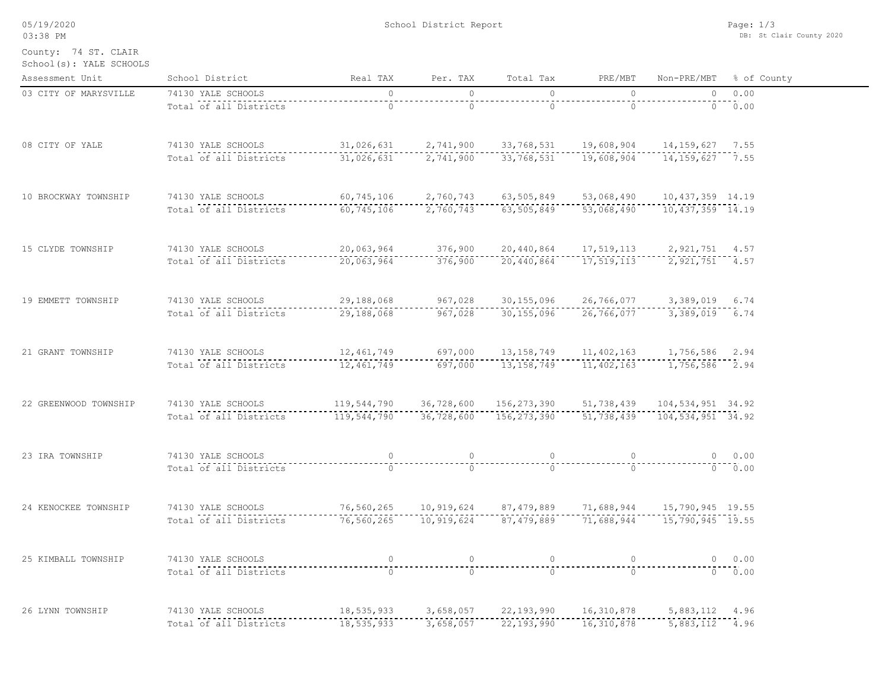| 03:38 PM                                        |                        |                                                                                                             |                                                                                                                                                                                                                                                                                                                                    |                                                                      |                                                                                                                                                                                                                                                                                                                                    |                                                                                                                                                                                                                                                                                                                                    | DB: St Clair County 2020 |
|-------------------------------------------------|------------------------|-------------------------------------------------------------------------------------------------------------|------------------------------------------------------------------------------------------------------------------------------------------------------------------------------------------------------------------------------------------------------------------------------------------------------------------------------------|----------------------------------------------------------------------|------------------------------------------------------------------------------------------------------------------------------------------------------------------------------------------------------------------------------------------------------------------------------------------------------------------------------------|------------------------------------------------------------------------------------------------------------------------------------------------------------------------------------------------------------------------------------------------------------------------------------------------------------------------------------|--------------------------|
| County: 74 ST. CLAIR<br>School(s): YALE SCHOOLS |                        |                                                                                                             |                                                                                                                                                                                                                                                                                                                                    |                                                                      |                                                                                                                                                                                                                                                                                                                                    |                                                                                                                                                                                                                                                                                                                                    |                          |
| Assessment Unit                                 | School District        | Real TAX                                                                                                    | Per. TAX                                                                                                                                                                                                                                                                                                                           | Total Tax                                                            | PRE/MBT                                                                                                                                                                                                                                                                                                                            |                                                                                                                                                                                                                                                                                                                                    | Non-PRE/MBT % of County  |
| 03 CITY OF MARYSVILLE                           | 74130 YALE SCHOOLS     | $\circ$                                                                                                     | $\circ$                                                                                                                                                                                                                                                                                                                            | $\circ$                                                              | $\circ$                                                                                                                                                                                                                                                                                                                            | $\overline{0}$                                                                                                                                                                                                                                                                                                                     | 0.00                     |
|                                                 | Total of all Districts | $\Omega$                                                                                                    | $\circ$                                                                                                                                                                                                                                                                                                                            | $\circ$                                                              | $\circ$                                                                                                                                                                                                                                                                                                                            |                                                                                                                                                                                                                                                                                                                                    | 0.00                     |
| 08 CITY OF YALE                                 | 74130 YALE SCHOOLS     | 31,026,631  2,741,900  33,768,531  19,608,904  14,159,627  7.55                                             |                                                                                                                                                                                                                                                                                                                                    |                                                                      |                                                                                                                                                                                                                                                                                                                                    |                                                                                                                                                                                                                                                                                                                                    |                          |
|                                                 | Total of all Districts | 31,026,631                                                                                                  | 2,741,900                                                                                                                                                                                                                                                                                                                          | 33,768,531                                                           | 19,608,904                                                                                                                                                                                                                                                                                                                         | 14, 159, 627 7.55                                                                                                                                                                                                                                                                                                                  |                          |
| 10 BROCKWAY TOWNSHIP                            | 74130 YALE SCHOOLS     | 60,745,106                                                                                                  |                                                                                                                                                                                                                                                                                                                                    | 2,760,743 63,505,849 53,068,490                                      |                                                                                                                                                                                                                                                                                                                                    | 10, 437, 359 14.19                                                                                                                                                                                                                                                                                                                 |                          |
|                                                 | Total of all Districts | 60,745,106                                                                                                  | 2,760,743                                                                                                                                                                                                                                                                                                                          | 63,505,849                                                           | 53,068,490                                                                                                                                                                                                                                                                                                                         | 10, 437, 359 14.19                                                                                                                                                                                                                                                                                                                 |                          |
| 15 CLYDE TOWNSHIP                               | 74130 YALE SCHOOLS     | 20,063,964                                                                                                  |                                                                                                                                                                                                                                                                                                                                    | 376,900 20,440,864 17,519,113 2,921,751 4.57                         |                                                                                                                                                                                                                                                                                                                                    |                                                                                                                                                                                                                                                                                                                                    |                          |
|                                                 | Total of all Districts | 20,063,964                                                                                                  | 376,900                                                                                                                                                                                                                                                                                                                            | 20,440,864                                                           | 17, 519, 113                                                                                                                                                                                                                                                                                                                       | 2, 921, 751 4.57                                                                                                                                                                                                                                                                                                                   |                          |
| 19 EMMETT TOWNSHIP                              | 74130 YALE SCHOOLS     | 29,188,068                                                                                                  |                                                                                                                                                                                                                                                                                                                                    | 967,028 30,155,096 26,766,077 3,389,019 6.74                         |                                                                                                                                                                                                                                                                                                                                    |                                                                                                                                                                                                                                                                                                                                    |                          |
|                                                 | Total of all Districts | 29,188,068                                                                                                  | 967,028                                                                                                                                                                                                                                                                                                                            | 30,155,096                                                           | 26,766,077                                                                                                                                                                                                                                                                                                                         | 3,389,019 6.74                                                                                                                                                                                                                                                                                                                     |                          |
| 21 GRANT TOWNSHIP                               | 74130 YALE SCHOOLS     | 12,461,749                                                                                                  | 697,000                                                                                                                                                                                                                                                                                                                            | 13, 158, 749 11, 402, 163                                            |                                                                                                                                                                                                                                                                                                                                    | 1,756,586 2.94                                                                                                                                                                                                                                                                                                                     |                          |
|                                                 | Total of all Districts | 12,461,749                                                                                                  | 697,000                                                                                                                                                                                                                                                                                                                            | 13,158,749                                                           | 11,402,163                                                                                                                                                                                                                                                                                                                         | 1,756,586 2.94                                                                                                                                                                                                                                                                                                                     |                          |
| 22 GREENWOOD TOWNSHIP                           | 74130 YALE SCHOOLS     |                                                                                                             |                                                                                                                                                                                                                                                                                                                                    | 119,544,790  36,728,600  156,273,390  51,738,439  104,534,951  34.92 |                                                                                                                                                                                                                                                                                                                                    |                                                                                                                                                                                                                                                                                                                                    |                          |
|                                                 | Total of all Districts | 119,544,790                                                                                                 |                                                                                                                                                                                                                                                                                                                                    | $-36,728,600$ $-156,273,390$ $-51,738,439$ $104,534,951$ $34.92$     |                                                                                                                                                                                                                                                                                                                                    |                                                                                                                                                                                                                                                                                                                                    |                          |
| 23 IRA TOWNSHIP                                 | 74130 YALE SCHOOLS     | $\circ$                                                                                                     | $\circ$                                                                                                                                                                                                                                                                                                                            | $\circ$                                                              | $\overline{0}$                                                                                                                                                                                                                                                                                                                     |                                                                                                                                                                                                                                                                                                                                    | 0 0.00                   |
|                                                 | Total of all Districts | $\overline{0}$                                                                                              | $\Omega$                                                                                                                                                                                                                                                                                                                           | $\Omega$                                                             | $\Omega$                                                                                                                                                                                                                                                                                                                           |                                                                                                                                                                                                                                                                                                                                    | 0.00                     |
| 24 KENOCKEE TOWNSHIP                            | 74130 YALE SCHOOLS     | 76,560,265                                                                                                  | 10,919,624                                                                                                                                                                                                                                                                                                                         | 87,479,889 71,688,944                                                |                                                                                                                                                                                                                                                                                                                                    | 15,790,945 19.55                                                                                                                                                                                                                                                                                                                   |                          |
|                                                 | Total of all Districts | 76,560,265                                                                                                  | 10,919,624                                                                                                                                                                                                                                                                                                                         |                                                                      | 87, 479, 889 71, 688, 944 15, 790, 945 19.55                                                                                                                                                                                                                                                                                       |                                                                                                                                                                                                                                                                                                                                    |                          |
| 25 KIMBALL TOWNSHIP                             | 74130 YALE SCHOOLS     |                                                                                                             | $\overline{0}$ and $\overline{0}$ and $\overline{0}$ and $\overline{0}$ and $\overline{0}$ and $\overline{0}$ and $\overline{0}$ and $\overline{0}$ and $\overline{0}$ and $\overline{0}$ and $\overline{0}$ and $\overline{0}$ and $\overline{0}$ and $\overline{0}$ and $\overline{0}$ and $\overline{0}$ and $\overline{0}$ and |                                                                      | $\overline{0}$ and $\overline{0}$ and $\overline{0}$ and $\overline{0}$ and $\overline{0}$ and $\overline{0}$ and $\overline{0}$ and $\overline{0}$ and $\overline{0}$ and $\overline{0}$ and $\overline{0}$ and $\overline{0}$ and $\overline{0}$ and $\overline{0}$ and $\overline{0}$ and $\overline{0}$ and $\overline{0}$ and | $\overline{0}$ and $\overline{0}$ and $\overline{0}$ and $\overline{0}$ and $\overline{0}$ and $\overline{0}$ and $\overline{0}$ and $\overline{0}$ and $\overline{0}$ and $\overline{0}$ and $\overline{0}$ and $\overline{0}$ and $\overline{0}$ and $\overline{0}$ and $\overline{0}$ and $\overline{0}$ and $\overline{0}$ and | 0 0.00                   |
|                                                 | Total of all Districts | ັດີ                                                                                                         | $-20$                                                                                                                                                                                                                                                                                                                              | $\frac{1}{10}$                                                       |                                                                                                                                                                                                                                                                                                                                    |                                                                                                                                                                                                                                                                                                                                    |                          |
| 26 LYNN TOWNSHIP                                | 74130 YALE SCHOOLS     | 18,535,933            3,658,057            22,193,990         16,310,878              5,883,112        4.96 |                                                                                                                                                                                                                                                                                                                                    |                                                                      |                                                                                                                                                                                                                                                                                                                                    |                                                                                                                                                                                                                                                                                                                                    |                          |
|                                                 | Total of all Districts | 18,535,933                                                                                                  |                                                                                                                                                                                                                                                                                                                                    | 3,658,057 22,193,990 16,310,878 5,883,112 4.96                       |                                                                                                                                                                                                                                                                                                                                    |                                                                                                                                                                                                                                                                                                                                    |                          |

School District Report

Page: 1/3

05/19/2020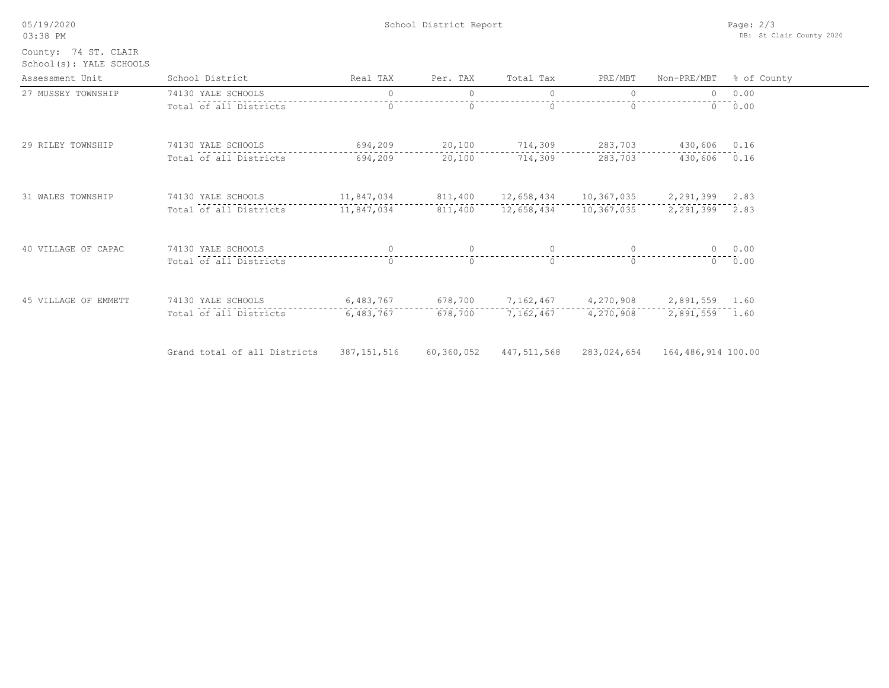| 05/19/2020<br>03:38 PM                          |                              | Page: $2/3$<br>DB: St Clair County 2020 |            |             |             |                    |             |
|-------------------------------------------------|------------------------------|-----------------------------------------|------------|-------------|-------------|--------------------|-------------|
| County: 74 ST. CLAIR<br>School(s): YALE SCHOOLS |                              |                                         |            |             |             |                    |             |
| Assessment Unit                                 | School District              | Real TAX                                | Per. TAX   | Total Tax   | PRE/MBT     | Non-PRE/MBT        | % of County |
| 27 MUSSEY TOWNSHIP                              | 74130 YALE SCHOOLS           | $\circ$                                 | $\circ$    | $\circ$     | $\Omega$    | 0                  | 0.00        |
|                                                 | Total of all Districts       | $\circ$                                 | $\circ$    | $\Omega$    | $\Omega$    |                    | 0 0.00      |
| 29 RILEY TOWNSHIP                               | 74130 YALE SCHOOLS           | 694,209                                 | 20,100     | 714,309     | 283,703     | 430,606 0.16       |             |
|                                                 | Total of all Districts       | 694,209                                 | 20,100     | 714,309     | 283,703     | 430,606 0.16       |             |
| 31 WALES TOWNSHIP                               | 74130 YALE SCHOOLS           | 11,847,034                              | 811,400    | 12,658,434  | 10,367,035  | 2,291,399 2.83     |             |
|                                                 | Total of all Districts       | 11,847,034                              | 811,400    | 12,658,434  | 10,367,035  | 2,291,399 2.83     |             |
| 40 VILLAGE OF CAPAC                             | 74130 YALE SCHOOLS           | $\circ$                                 | $\circ$    | $\circ$     | $\circ$     |                    | $0 \t 0.00$ |
|                                                 | Total of all Districts       | $\Omega$                                | $\circ$    | $\Omega$    | $\Omega$    |                    | 0 0.00      |
| 45 VILLAGE OF EMMETT                            | 74130 YALE SCHOOLS           | 6,483,767                               | 678,700    | 7,162,467   | 4,270,908   | 2,891,559 1.60     |             |
|                                                 | Total of all Districts       | 6,483,767                               | 678,700    | 7,162,467   | 4,270,908   | 2,891,559 1.60     |             |
|                                                 | Grand total of all Districts | 387, 151, 516                           | 60,360,052 | 447,511,568 | 283,024,654 | 164,486,914 100.00 |             |